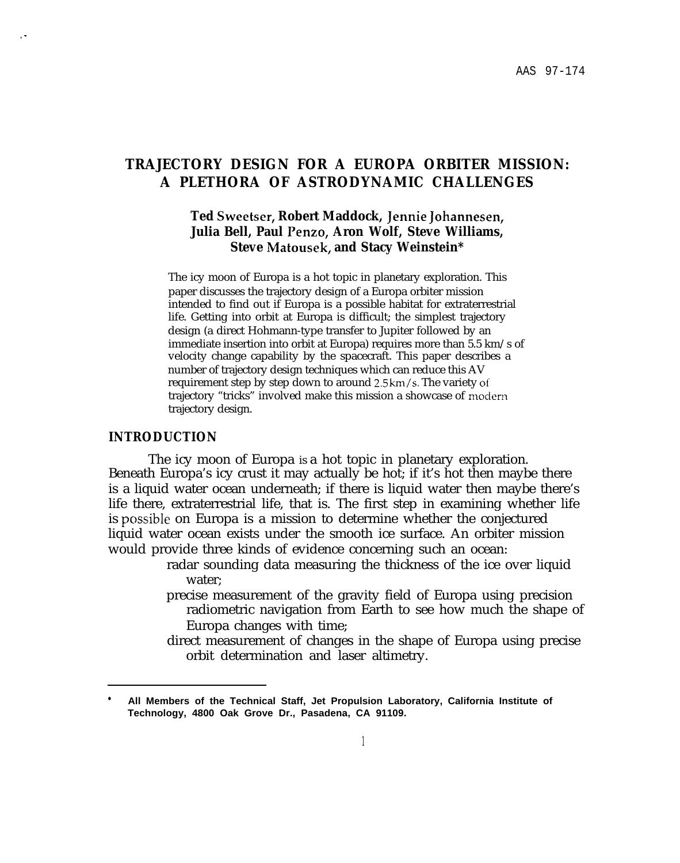# **TRAJECTORY DESIGN FOR A EUROPA ORBITER MISSION: A PLETHORA OF ASTRODYNAMIC CHALLENGES**

# **Ted Sweetser, Robert Maddock, Jennie Johannesen, Julia Bell, Paul Penzo, Aron Wolf, Steve Williams, Steve Matousek, and Stacy Weinstein\***

The icy moon of Europa is a hot topic in planetary exploration. This paper discusses the trajectory design of a Europa orbiter mission intended to find out if Europa is a possible habitat for extraterrestrial life. Getting into orbit at Europa is difficult; the simplest trajectory design (a direct Hohmann-type transfer to Jupiter followed by an immediate insertion into orbit at Europa) requires more than 5.5 km/s of velocity change capability by the spacecraft. This paper describes a number of trajectory design techniques which can reduce this AV requirement step by step down to around 2.5 km/s. The variety ot' trajectory "tricks" involved make this mission a showcase of rnoclern trajectory design.

#### **INTRODUCTION**

,.

The icy moon of Europa is a hot topic in planetary exploration. Beneath Europa's icy crust it may actually be hot; if it's hot then maybe there is a liquid water ocean underneath; if there is liquid water then maybe there's life there, extraterrestrial life, that is. The first step in examining whether life is possible on Europa is a mission to determine whether the conjectured liquid water ocean exists under the smooth ice surface. An orbiter mission would provide three kinds of evidence concerning such an ocean:

- radar sounding data measuring the thickness of the ice over liquid water;
- precise measurement of the gravity field of Europa using precision radiometric navigation from Earth to see how much the shape of Europa changes with time;
- direct measurement of changes in the shape of Europa using precise orbit determination and laser altimetry.

<sup>●</sup> **All Members of the Technical Staff, Jet Propulsion Laboratory, California Institute of Technology, 4800 Oak Grove Dr., Pasadena, CA 91109.**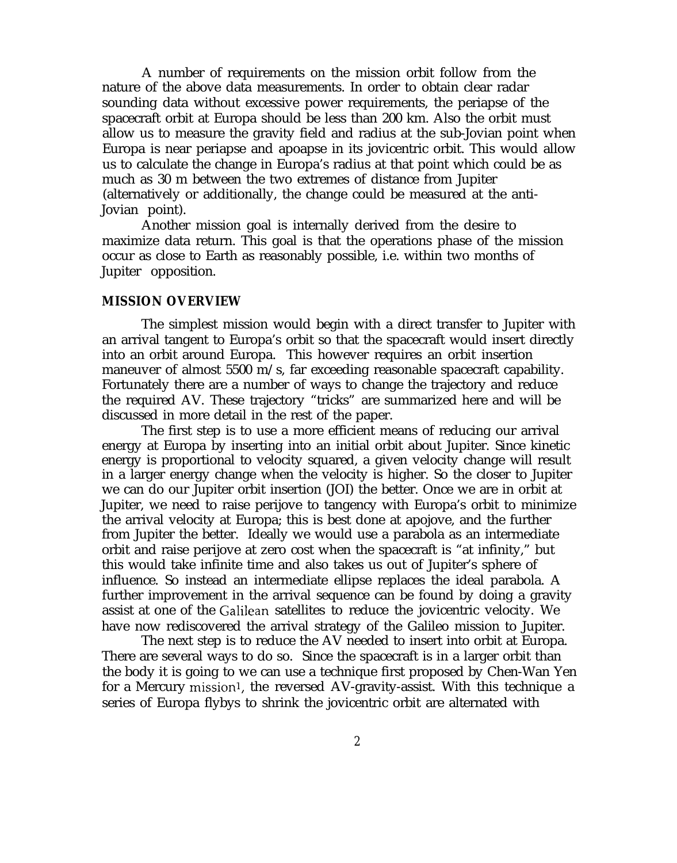A number of requirements on the mission orbit follow from the nature of the above data measurements. In order to obtain clear radar sounding data without excessive power requirements, the periapse of the spacecraft orbit at Europa should be less than 200 km. Also the orbit must allow us to measure the gravity field and radius at the sub-Jovian point when Europa is near periapse and apoapse in its jovicentric orbit. This would allow us to calculate the change in Europa's radius at that point which could be as much as 30 m between the two extremes of distance from Jupiter (alternatively or additionally, the change could be measured at the anti-Jovian point).

Another mission goal is internally derived from the desire to maximize data return. This goal is that the operations phase of the mission occur as close to Earth as reasonably possible, i.e. within two months of Jupiter opposition.

# **MISSION OVERVIEW**

The simplest mission would begin with a direct transfer to Jupiter with an arrival tangent to Europa's orbit so that the spacecraft would insert directly into an orbit around Europa. This however requires an orbit insertion maneuver of almost 5500 m/s, far exceeding reasonable spacecraft capability. Fortunately there are a number of ways to change the trajectory and reduce the required AV. These trajectory "tricks" are summarized here and will be discussed in more detail in the rest of the paper.

The first step is to use a more efficient means of reducing our arrival energy at Europa by inserting into an initial orbit about Jupiter. Since kinetic energy is proportional to velocity squared, a given velocity change will result in a larger energy change when the velocity is higher. So the closer to Jupiter we can do our Jupiter orbit insertion (JOI) the better. Once we are in orbit at Jupiter, we need to raise perijove to tangency with Europa's orbit to minimize the arrival velocity at Europa; this is best done at apojove, and the further from Jupiter the better. Ideally we would use a parabola as an intermediate orbit and raise perijove at zero cost when the spacecraft is "at infinity," but this would take infinite time and also takes us out of Jupiter's sphere of influence. So instead an intermediate ellipse replaces the ideal parabola. A further improvement in the arrival sequence can be found by doing a gravity assist at one of the Galilean satellites to reduce the jovicentric velocity. We have now rediscovered the arrival strategy of the Galileo mission to Jupiter.

The next step is to reduce the AV needed to insert into orbit at Europa. There are several ways to do so. Since the spacecraft is in a larger orbit than the body it is going to we can use a technique first proposed by Chen-Wan Yen for a Mercury mission<sup>1</sup>, the reversed AV-gravity-assist. With this technique a series of Europa flybys to shrink the jovicentric orbit are alternated with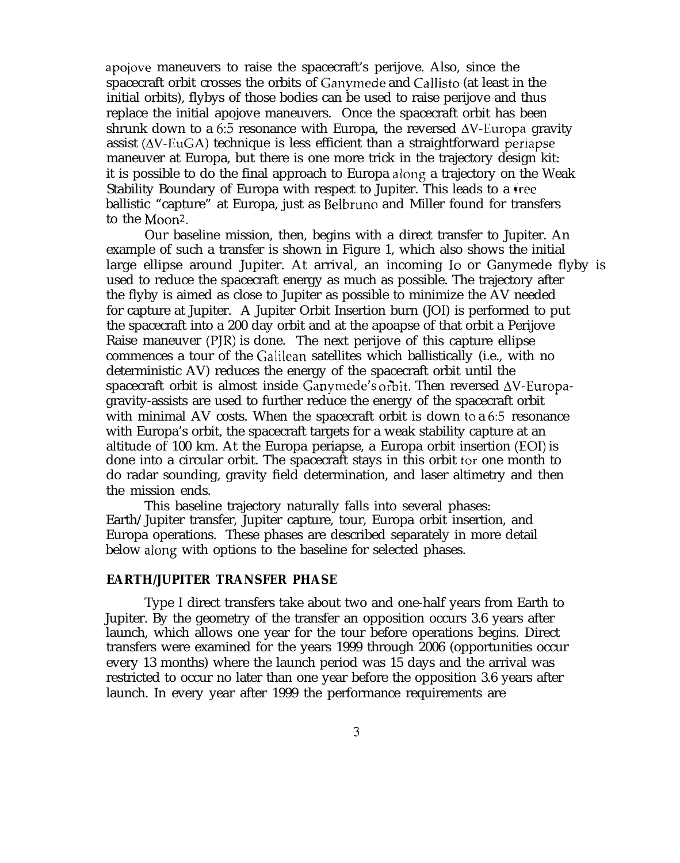apojove maneuvers to raise the spacecraft's perijove. Also, since the spacecraft orbit crosses the orbits of Ganyrnede and Callisto (at least in the initial orbits), flybys of those bodies can be used to raise perijove and thus replace the initial apojove maneuvers. Once the spacecraft orbit has been shrunk down to a 6:5 resonance with Europa, the reversed  $\Delta V$ -Europa gravity assist  $(\Delta V - EuGA)$  technique is less efficient than a straightforward periapse maneuver at Europa, but there is one more trick in the trajectory design kit: it is possible to do the final approach to Europa along a trajectory on the Weak Stability Boundary of Europa with respect to Jupiter. This leads to a free ballistic "capture" at Europa, just as Belbruno and Miller found for transfers to the Moon<sup>2</sup>.

Our baseline mission, then, begins with a direct transfer to Jupiter. An example of such a transfer is shown in Figure 1, which also shows the initial large ellipse around Jupiter. At arrival, an incoming Io or Ganymede flyby is used to reduce the spacecraft energy as much as possible. The trajectory after the flyby is aimed as close to Jupiter as possible to minimize the AV needed for capture at Jupiter. A Jupiter Orbit Insertion burn (JOI) is performed to put the spacecraft into a 200 day orbit and at the apoapse of that orbit a Perijove Raise maneuver (PJR) is done. The next perijove of this capture ellipse commences a tour of the Galilean satellites which ballistically (i.e., with no deterministic AV) reduces the energy of the spacecraft orbit until the spacecraft orbit is almost inside Ganymede's orbit. Then reversed  $\Delta V$ -Europagravity-assists are used to further reduce the energy of the spacecraft orbit with minimal AV costs. When the spacecraft orbit is down to a 6:5 resonance with Europa's orbit, the spacecraft targets for a weak stability capture at an altitude of 100 km. At the Europa periapse, a Europa orbit insertion (EOI) is done into a circular orbit. The spacecraft stays in this orbit for one month to do radar sounding, gravity field determination, and laser altimetry and then the mission ends.

This baseline trajectory naturally falls into several phases: Earth/Jupiter transfer, Jupiter capture, tour, Europa orbit insertion, and Europa operations. These phases are described separately in more detail below along with options to the baseline for selected phases.

#### **EARTH/JUPITER TRANSFER PHASE**

Type I direct transfers take about two and one-half years from Earth to Jupiter. By the geometry of the transfer an opposition occurs 3.6 years after launch, which allows one year for the tour before operations begins. Direct transfers were examined for the years 1999 through 2006 (opportunities occur every 13 months) where the launch period was 15 days and the arrival was restricted to occur no later than one year before the opposition 3.6 years after launch. In every year after 1999 the performance requirements are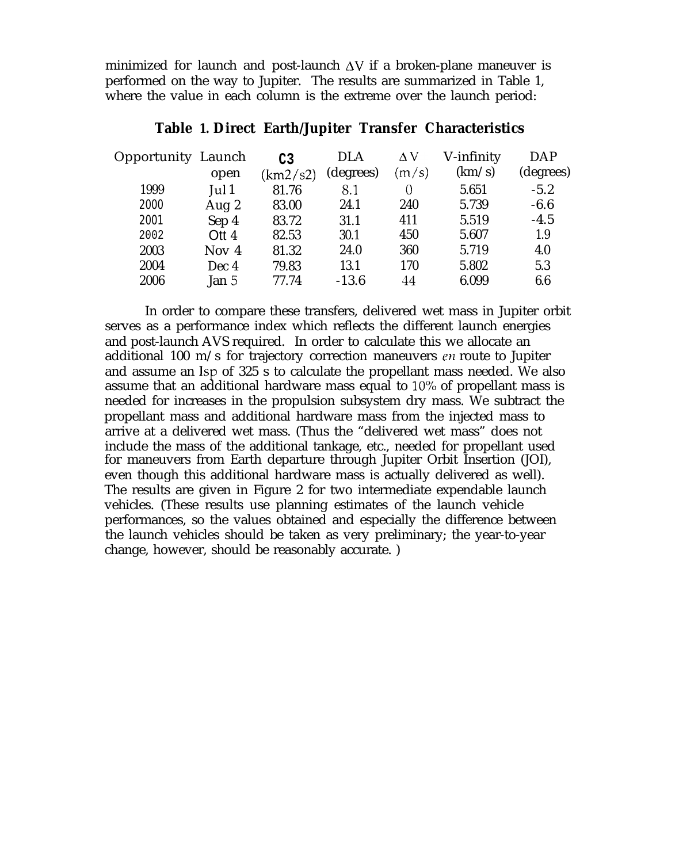minimized for launch and post-launch  $\Delta V$  if a broken-plane maneuver is performed on the way to Jupiter. The results are summarized in Table 1, where the value in each column is the extreme over the launch period:

| <b>Opportunity Launch</b> |                             | C <sub>3</sub> | <b>DLA</b> | $\Delta V$ | V-infinity | <b>DAP</b> |  |
|---------------------------|-----------------------------|----------------|------------|------------|------------|------------|--|
|                           | open                        | (km2/s2)       | (degrees)  | (m/s)      | (km/s)     | (degrees)  |  |
| 1999                      | $\lceil \mathrm{ul} \rceil$ | 81.76          | 8.1        | $\Omega$   | 5.651      | $-5.2$     |  |
| 2000                      | Aug 2                       | 83.00          | 24.1       | 240        | 5.739      | $-6.6$     |  |
| 2001                      | Sep 4                       | 83.72          | 31.1       | 411        | 5.519      | $-4.5$     |  |
| 2002                      | Ott $4$                     | 82.53          | 30.1       | 450        | 5.607      | 1.9        |  |
| 2003                      | Nov $4$                     | 81.32          | 24.0       | 360        | 5.719      | 4.0        |  |
| 2004                      | Dec 4                       | 79.83          | 13.1       | 170        | 5.802      | 5.3        |  |
| 2006                      | Jan $5$                     | 77.74          | $-13.6$    | 44         | 6.099      | 6.6        |  |
|                           |                             |                |            |            |            |            |  |

# **Table 1. Direct Earth/Jupiter Transfer Characteristics**

In order to compare these transfers, delivered wet mass in Jupiter orbit serves as a performance index which reflects the different launch energies and post-launch AVS required. In order to calculate this we allocate an additional 100 m/s for trajectory correction maneuvers  $en$  route to Jupiter and assume an Isp of 325 s to calculate the propellant mass needed. We also assume that an additional hardware mass equal to 10°/0 of propellant mass is needed for increases in the propulsion subsystem dry mass. We subtract the propellant mass and additional hardware mass from the injected mass to arrive at a delivered wet mass. (Thus the "delivered wet mass" does not include the mass of the additional tankage, etc., needed for propellant used for maneuvers from Earth departure through Jupiter Orbit Insertion (JOI), even though this additional hardware mass is actually delivered as well). The results are given in Figure 2 for two intermediate expendable launch vehicles. (These results use planning estimates of the launch vehicle performances, so the values obtained and especially the difference between the launch vehicles should be taken as very preliminary; the year-to-year change, however, should be reasonably accurate. )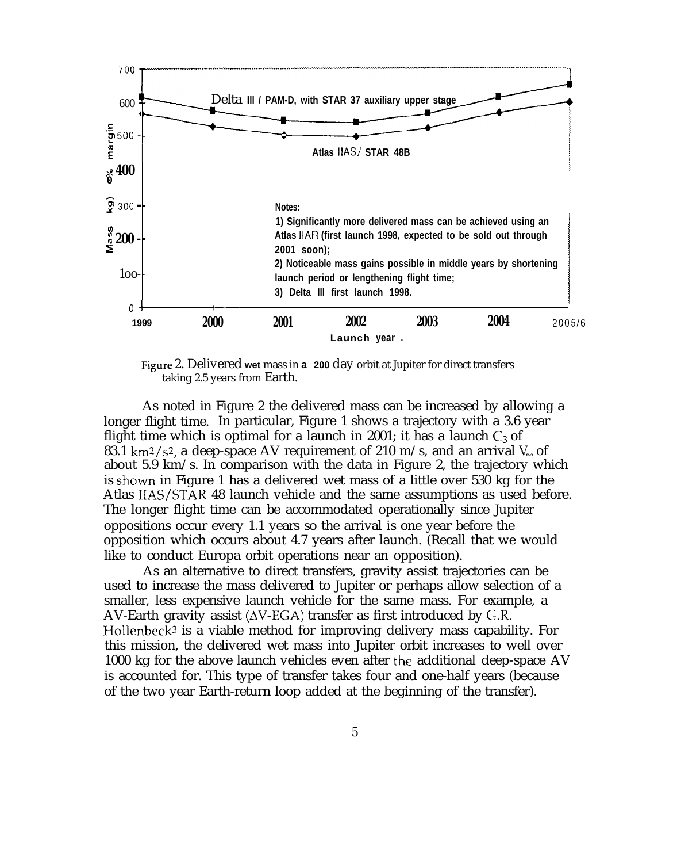

Figure 2. Delivered **wet** mass in **a 200** day orbit at Jupiter for direct transfers taking 2.5 years from Earth.

As noted in Figure 2 the delivered mass can be increased by allowing a longer flight time. In particular, Figure 1 shows a trajectory with a 3.6 year flight time which is optimal for a launch in 2001; it has a launch  $C_3$  of 83.1 km<sup>2</sup>/s<sup>2</sup>, a deep-space AV requirement of 210 m/s, and an arrival  $V_{\infty}$  of about 5.9 km/s. In comparison with the data in Figure 2, the trajectory which is shown in Figure 1 has a delivered wet mass of a little over 530 kg for the Atlas IIAS/STAR 48 launch vehicle and the same assumptions as used before. The longer flight time can be accommodated operationally since Jupiter oppositions occur every 1.1 years so the arrival is one year before the opposition which occurs about 4.7 years after launch. (Recall that we would like to conduct Europa orbit operations near an opposition).

As an alternative to direct transfers, gravity assist trajectories can be used to increase the mass delivered to Jupiter or perhaps allow selection of a smaller, less expensive launch vehicle for the same mass. For example, a AV-Earth gravity assist  $(\Delta V$ -EGA) transfer as first introduced by G.R. Hollenbeck<sup>3</sup> is a viable method for improving delivery mass capability. For this mission, the delivered wet mass into Jupiter orbit increases to well over 1000 kg for the above launch vehicles even after the additional deep-space AV is accounted for. This type of transfer takes four and one-half years (because of the two year Earth-return loop added at the beginning of the transfer).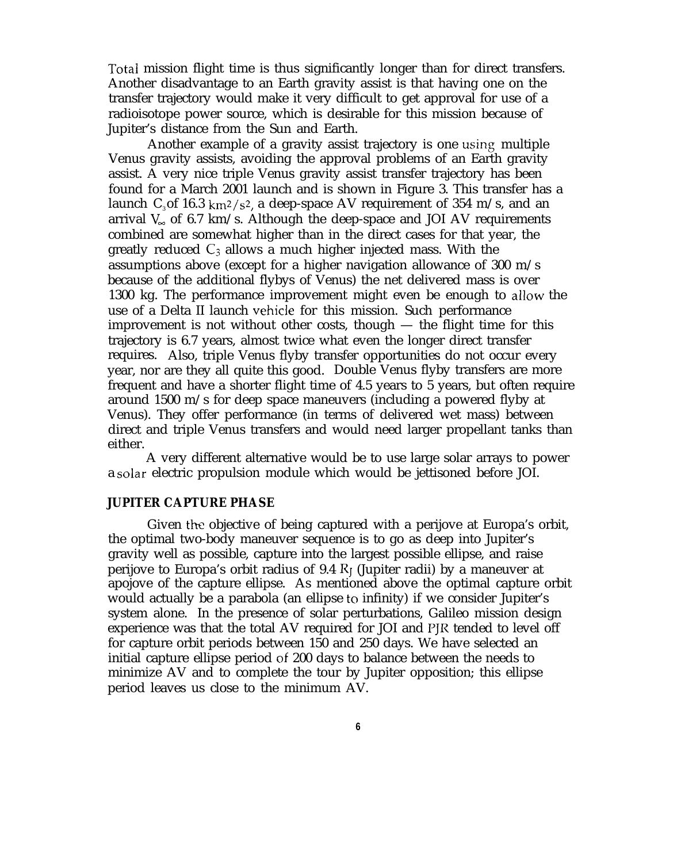Total mission flight time is thus significantly longer than for direct transfers. Another disadvantage to an Earth gravity assist is that having one on the transfer trajectory would make it very difficult to get approval for use of a radioisotope power source, which is desirable for this mission because of Jupiter's distance from the Sun and Earth.

Another example of a gravity assist trajectory is one using multiple Venus gravity assists, avoiding the approval problems of an Earth gravity assist. A very nice triple Venus gravity assist transfer trajectory has been found for a March 2001 launch and is shown in Figure 3. This transfer has a launch  $C_3$  of 16.3 km<sup>2</sup>/s<sup>2</sup>, a deep-space AV requirement of 354 m/s, and an arrival  $V_{\infty}$  of 6.7 km/s. Although the deep-space and JOI AV requirements combined are somewhat higher than in the direct cases for that year, the greatly reduced  $C_3$  allows a much higher injected mass. With the assumptions above (except for a higher navigation allowance of 300 m/s because of the additional flybys of Venus) the net delivered mass is over 1300 kg. The performance improvement might even be enough to allow the use of a Delta II launch vehicIe for this mission. Such performance improvement is not without other costs, though — the flight time for this trajectory is 6.7 years, almost twice what even the longer direct transfer requires. Also, triple Venus flyby transfer opportunities do not occur every year, nor are they all quite this good. Double Venus flyby transfers are more frequent and have a shorter flight time of 4.5 years to 5 years, but often require around 1500 m/s for deep space maneuvers (including a powered flyby at Venus). They offer performance (in terms of delivered wet mass) between direct and triple Venus transfers and would need larger propellant tanks than either.

A very different alternative would be to use large solar arrays to power a solar electric propulsion module which would be jettisoned before JOI.

# **JUPITER CAPTURE PHASE**

Given the objective of being captured with a perijove at Europa's orbit, the optimal two-body maneuver sequence is to go as deep into Jupiter's gravity well as possible, capture into the largest possible ellipse, and raise perijove to Europa's orbit radius of 9.4  $R<sub>I</sub>$  (Jupiter radii) by a maneuver at apojove of the capture ellipse. As mentioned above the optimal capture orbit would actually be a parabola (an ellipse to infinity) if we consider Jupiter's system alone. In the presence of solar perturbations, Galileo mission design experience was that the total AV required for JOI and PJR tended to level off for capture orbit periods between 150 and 250 days. We have selected an initial capture ellipse period of 200 days to balance between the needs to minimize AV and to complete the tour by Jupiter opposition; this ellipse period leaves us close to the minimum AV.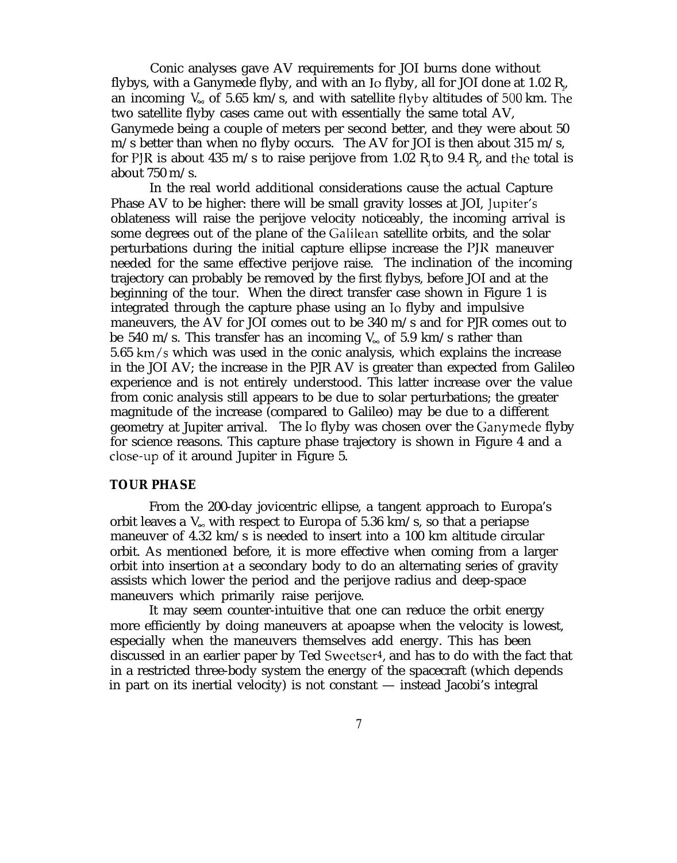Conic analyses gave AV requirements for JOI burns done without flybys, with a Ganymede flyby, and with an Io flyby, all for JOI done at 1.02  $\rm R_{\nu}$ an incoming  $V_{\infty}$  of 5.65 km/s, and with satellite flyby altitudes of 500 km. The two satellite flyby cases came out with essentially the same total AV, Ganymede being a couple of meters per second better, and they were about 50 m/s better than when no flyby occurs. The AV for JOI is then about 315 m/s, for PJR is about 435 m/s to raise perijove from 1.02  $\rm R_{\rm J}$ to 9.4  $\rm R_{\rm J}$  and the total is about 750 m/s.

In the real world additional considerations cause the actual Capture Phase AV to be higher: there will be small gravity losses at JOI, ]upiter's oblateness will raise the perijove velocity noticeably, the incoming arrival is some degrees out of the plane of the Galilean satellite orbits, and the solar perturbations during the initial capture ellipse increase the I'JR maneuver needed for the same effective perijove raise. The inclination of the incoming trajectory can probably be removed by the first flybys, before JOI and at the beginning of the tour. When the direct transfer case shown in Figure 1 is integrated through the capture phase using an Io flyby and impulsive maneuvers, the AV for JOI comes out to be 340 m/s and for PJR comes out to be 540 m/s. This transfer has an incoming  $V_{\infty}$  of 5.9 km/s rather than  $5.65 \text{ km/s}$  which was used in the conic analysis, which explains the increase in the JOI AV; the increase in the PJR AV is greater than expected from Galileo experience and is not entirely understood. This latter increase over the value from conic analysis still appears to be due to solar perturbations; the greater magnitude of the increase (compared to Galileo) may be due to a different geometry at Jupiter arrival. The Io flyby was chosen over the Ganymede flyby for science reasons. This capture phase trajectory is shown in Figure 4 and a close-up of it around Jupiter in Figure 5.

# **TOUR PHASE**

From the 200-day jovicentric ellipse, a tangent approach to Europa's orbit leaves a  $V_{\infty}$  with respect to Europa of 5.36 km/s, so that a periapse maneuver of 4.32 km/s is needed to insert into a 100 km altitude circular orbit. As mentioned before, it is more effective when coming from a larger orbit into insertion at a secondary body to do an alternating series of gravity assists which lower the period and the perijove radius and deep-space maneuvers which primarily raise perijove.

It may seem counter-intuitive that one can reduce the orbit energy more efficiently by doing maneuvers at apoapse when the velocity is lowest, especially when the maneuvers themselves add energy. This has been discussed in an earlier paper by Ted Sweetser<sup>4</sup>, and has to do with the fact that in a restricted three-body system the energy of the spacecraft (which depends in part on its inertial velocity) is not constant — instead Jacobi's integral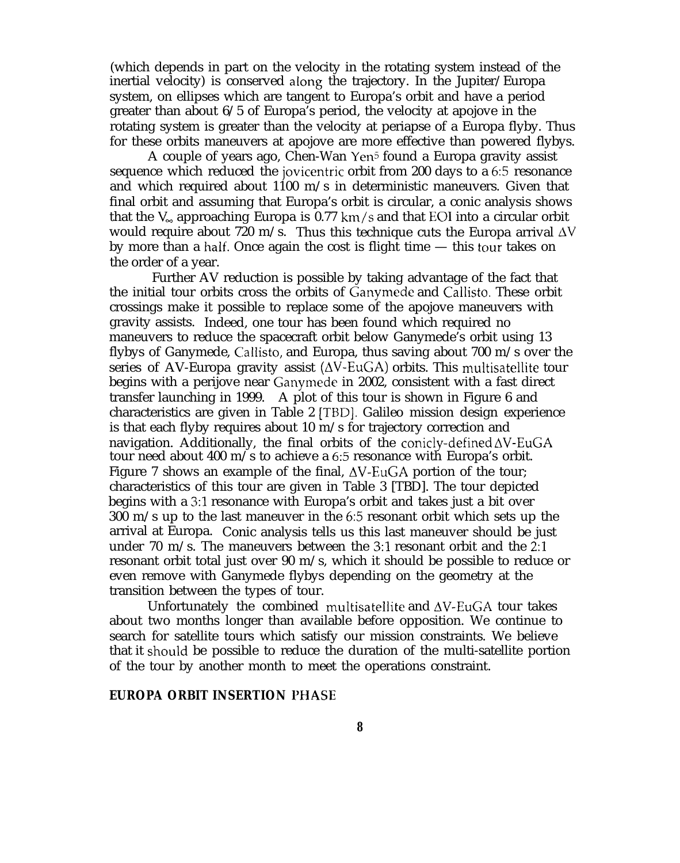(which depends in part on the velocity in the rotating system instead of the inertial velocity) is conserved along the trajectory. In the Jupiter/Europa system, on ellipses which are tangent to Europa's orbit and have a period greater than about 6/5 of Europa's period, the velocity at apojove in the rotating system is greater than the velocity at periapse of a Europa flyby. Thus for these orbits maneuvers at apojove are more effective than powered flybys.

A couple of years ago, Chen-Wan Yen<sup>5</sup> found a Europa gravity assist sequence which reduced the jovicentric orbit from 200 days to a 6:5 resonance and which required about  $1100$  m/s in deterministic maneuvers. Given that final orbit and assuming that Europa's orbit is circular, a conic analysis shows that the  $V_{\infty}$  approaching Europa is 0.77 km/s and that EOI into a circular orbit would require about 720 m/s. Thus this technique cuts the Europa arrival  $\Delta V$ by more than a half. Once again the cost is flight time  $-$  this tour takes on the order of a year.

Further AV reduction is possible by taking advantage of the fact that the initial tour orbits cross the orbits of Ganymecie and Callisto. These orbit crossings make it possible to replace some of the apojove maneuvers with gravity assists. Indeed, one tour has been found which required no maneuvers to reduce the spacecraft orbit below Ganymede's orbit using 13 flybys of Ganymede, Callisto, and Europa, thus saving about 700 m/s over the series of AV-Europa gravity assist  $(\Delta V$ -EuGA) orbits. This multisatellite tour begins with a perijove near Ganyrnede in 2002, consistent with a fast direct transfer launching in 1999. A plot of this tour is shown in Figure 6 and characteristics are given in Table 2 [TBD]. Galileo mission design experience is that each flyby requires about 10 m/s for trajectory correction and navigation. Additionally, the final orbits of the conicly-defined  $\Delta V$ -EuGA tour need about 400 m/s to achieve a 6:5 resonance with Europa's orbit. Figure 7 shows an example of the final,  $\Delta V$ -EuGA portion of the tour; characteristics of this tour are given in Table 3 [TBD]. The tour depicted begins with a 3:1 resonance with Europa's orbit and takes just a bit over 300 m/s up to the last maneuver in the 6:5 resonant orbit which sets up the arrival at Europa. Conic analysis tells us this last maneuver should be just under 70 m/s. The maneuvers between the 3:1 resonant orbit and the 2:1 resonant orbit total just over 90  $m/s$ , which it should be possible to reduce or even remove with Ganymede flybys depending on the geometry at the transition between the types of tour.

Unfortunately the combined multisatellite and  $\Delta V$ -EuGA tour takes about two months longer than available before opposition. We continue to search for satellite tours which satisfy our mission constraints. We believe that it should be possible to reduce the duration of the multi-satellite portion of the tour by another month to meet the operations constraint.

#### **EUROPA ORBIT INSERTION I'HASE**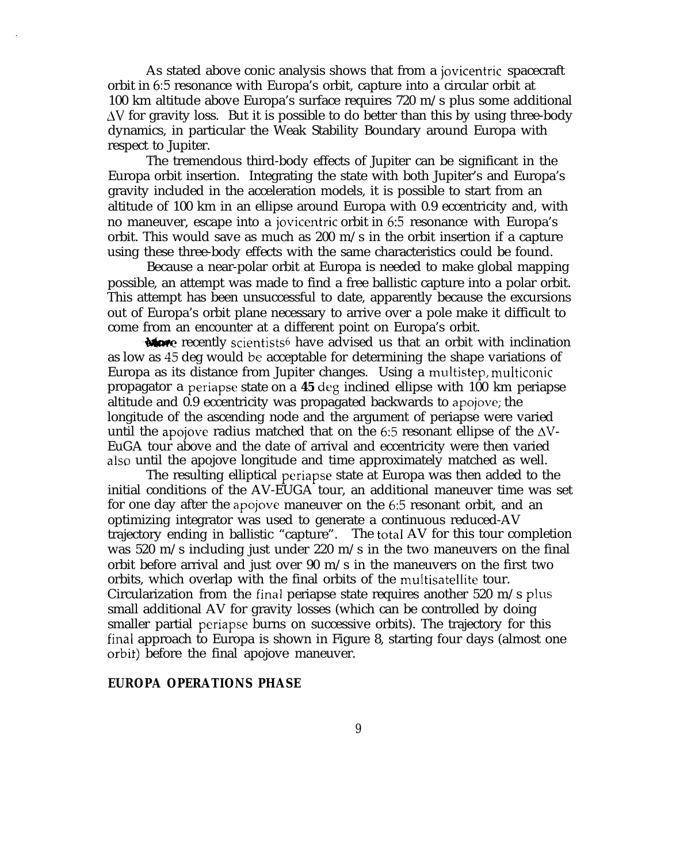As stated above conic analysis shows that from a jovicentric spacecraft orbit in 6:5 resonance with Europa's orbit, capture into a circular orbit at 100 km altitude above Europa's surface requires 720 m/s plus some additional  $\Delta V$  for gravity loss. But it is possible to do better than this by using three-body dynamics, in particular the Weak Stability Boundary around Europa with respect to Jupiter.

The tremendous third-body effects of Jupiter can be significant in the Europa orbit insertion. Integrating the state with both Jupiter's and Europa's gravity included in the acceleration models, it is possible to start from an altitude of 100 km in an ellipse around Europa with 0.9 eccentricity and, with no maneuver, escape into a jovicentric orbit in 6:5 resonance with Europa's orbit. This would save as much as 200  $m/s$  in the orbit insertion if a capture using these three-body effects with the same characteristics could be found.

Because a near-polar orbit at Europa is needed to make global mapping possible, an attempt was made to find a free ballistic capture into a polar orbit.<br>This attempt has been unsuccessful to date, apparently because the excursions<br>out of Europa's orbit plane necessary to arrive over a pole m This attempt has been unsuccessful to date, apparently because the excursions out of Europa's orbit plane necessary to arrive over a pole make it difficult to come from an encounter at a different point on Europa's orbit.

as low as 45 deg would be acceptable for determining the shape variations of Europa as its distance from Jupiter changes. Using a multistep, muiticonic propagator a periapse state on a **45** deg inclined ellipse with 100 km periapse altitude and 0.9 eccentricity was propagated backwards to apojove; the longitude of the ascending node and the argument of periapse were varied until the apojove radius matched that on the 6:5 resonant ellipse of the  $\Delta V$ -EuGA tour above and the date of arrival and eccentricity were then varied also until the apojove longitude and time approximately matched as well.

The resulting elliptical periapse state at Europa was then added to the initial conditions of the AV-EUGA tour, an additional maneuver time was set for one day after the apojove maneuver on the 6:5 resonant orbit, and an optimizing integrator was used to generate a continuous reduced-AV trajectory ending in ballistic "capture". The total AV for this tour completion was 520 m/s including just under 220 m/s in the two maneuvers on the final orbit before arrival and just over 90  $m/s$  in the maneuvers on the first two orbits, which overlap with the final orbits of the multisatellite tour. Circularization from the final periapse state requires another 520 m/s plus small additional AV for gravity losses (which can be controlled by doing smaller partial periapse burns on successive orbits). The trajectory for this final approach to Europa is shown in Figure 8, starting four days (almost one orbit) before the final apojove maneuver.

# **EUROPA OPERATIONS PHASE**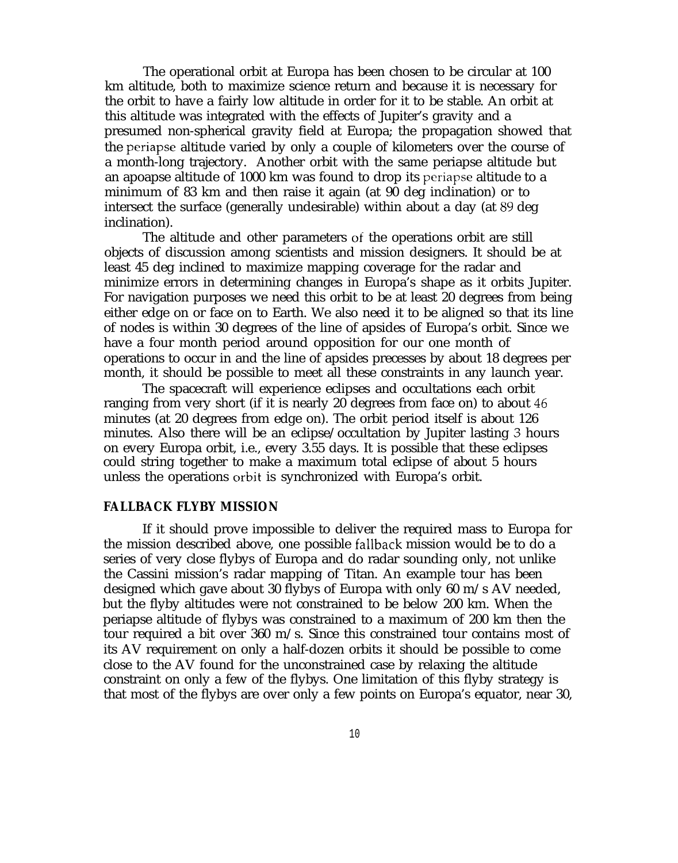The operational orbit at Europa has been chosen to be circular at 100 km altitude, both to maximize science return and because it is necessary for the orbit to have a fairly low altitude in order for it to be stable. An orbit at this altitude was integrated with the effects of Jupiter's gravity and a presumed non-spherical gravity field at Europa; the propagation showed that the periapse altitude varied by only a couple of kilometers over the course of a month-long trajectory. Another orbit with the same periapse altitude but an apoapse altitude of 1000 km was found to drop its periapse altitude to a minimum of 83 km and then raise it again (at 90 deg inclination) or to intersect the surface (generally undesirable) within about a day (at 89 deg inclination).

The altitude and other parameters of the operations orbit are still objects of discussion among scientists and mission designers. It should be at least 45 deg inclined to maximize mapping coverage for the radar and minimize errors in determining changes in Europa's shape as it orbits Jupiter. For navigation purposes we need this orbit to be at least 20 degrees from being either edge on or face on to Earth. We also need it to be aligned so that its line of nodes is within 30 degrees of the line of apsides of Europa's orbit. Since we have a four month period around opposition for our one month of operations to occur in and the line of apsides precesses by about 18 degrees per month, it should be possible to meet all these constraints in any launch year.

The spacecraft will experience eclipses and occultations each orbit ranging from very short (if it is nearly 20 degrees from face on) to about 46 minutes (at 20 degrees from edge on). The orbit period itself is about 126 minutes. Also there will be an eclipse/occultation by Jupiter lasting 3 hours on every Europa orbit, i.e., every 3.55 days. It is possible that these eclipses could string together to make a maximum total eclipse of about 5 hours unless the operations orbit is synchronized with Europa's orbit.

#### **FALLBACK FLYBY MISSION**

If it should prove impossible to deliver the required mass to Europa for the mission described above, one possible fallback mission would be to do a series of very close flybys of Europa and do radar sounding only, not unlike the Cassini mission's radar mapping of Titan. An example tour has been designed which gave about 30 flybys of Europa with only 60 m/s AV needed, but the flyby altitudes were not constrained to be below 200 km. When the periapse altitude of flybys was constrained to a maximum of 200 km then the tour required a bit over 360 m/s. Since this constrained tour contains most of its AV requirement on only a half-dozen orbits it should be possible to come close to the AV found for the unconstrained case by relaxing the altitude constraint on only a few of the flybys. One limitation of this flyby strategy is that most of the flybys are over only a few points on Europa's equator, near 30,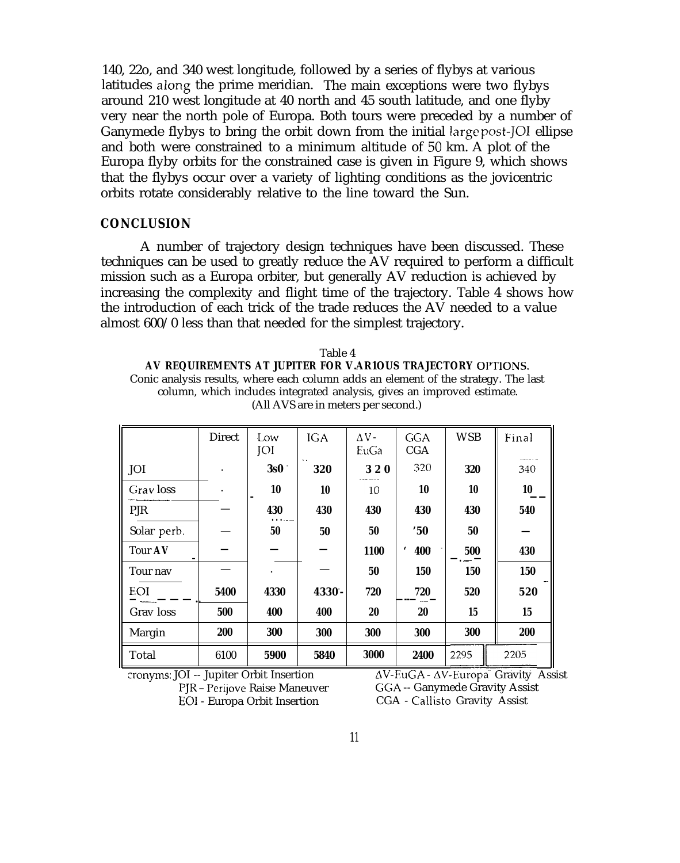140, 22o, and 340 west longitude, followed by a series of flybys at various latitudes along the prime meridian. The main exceptions were two flybys around 210 west longitude at 40 north and 45 south latitude, and one flyby very near the north pole of Europa. Both tours were preceded by a number of Ganymede flybys to bring the orbit down from the initial large post-[OI ellipse] and both were constrained to a minimum altitude of 50 km. A plot of the Europa flyby orbits for the constrained case is given in Figure 9, which shows that the flybys occur over a variety of lighting conditions as the jovicentric orbits rotate considerably relative to the line toward the Sun.

# **CONCLUSION**

A number of trajectory design techniques have been discussed. These techniques can be used to greatly reduce the AV required to perform a difficult mission such as a Europa orbiter, but generally AV reduction is achieved by increasing the complexity and flight time of the trajectory. Table 4 shows how the introduction of each trick of the trade reduces the AV needed to a value almost 600/0 less than that needed for the simplest trajectory.

| Table 4                                                                             |
|-------------------------------------------------------------------------------------|
| AV REQUIREMENTS AT JUPITER FOR V.AR1OUS TRAJECTORY OPTIONS.                         |
| Conic analysis results, where each column adds an element of the strategy. The last |
| column, which includes integrated analysis, gives an improved estimate.             |
| (All AVS are in meters per second.)                                                 |

|                | <b>Direct</b> | Low<br>JOI | <b>IGA</b>           | $\Delta V -$<br>EuGa | <b>GGA</b><br>CGA | <b>WSB</b> | Final |
|----------------|---------------|------------|----------------------|----------------------|-------------------|------------|-------|
| JOI            |               | 3s0        | $\sim$ $\sim$<br>320 | 320                  | 320               | 320        | 340   |
| Gray loss      |               | 10         | 10                   | 10                   | 10                | 10         | 10    |
| PJR            |               | 430        | 430                  | 430                  | 430               | 430        | 540   |
| Solar perb.    |               | 50         | 50                   | 50                   | "50"              | 50         |       |
| <b>Tour AV</b> |               |            |                      | 1100                 | 400<br>،          | 500        | 430   |
| Tour nav       |               |            |                      | 50                   | 150               | 150        | 150   |
| EOI            | 5400          | 4330       | 4330 -               | 720                  | 720               | 520        | 520   |
| Grav loss      | 500           | 400        | 400                  | 20                   | 20                | 15         | 15    |
| Margin         | 200           | 300        | 300                  | 300                  | 300               | 300        | 200   |
| Total          | 6100          | 5900       | 5840                 | 3000                 | 2400              | 2295       | 2205  |

cronyms: JOI -- Jupiter Orbit Insertion

PJR - Perijove Raise Maneuver **EOI** - Europa Orbit Insertion

 $\Delta V$ -EuGA -  $\Delta V$ -Europa Gravity Assist GGA -- Ganymede Gravity Assist CGA - Callisto Gravity Assist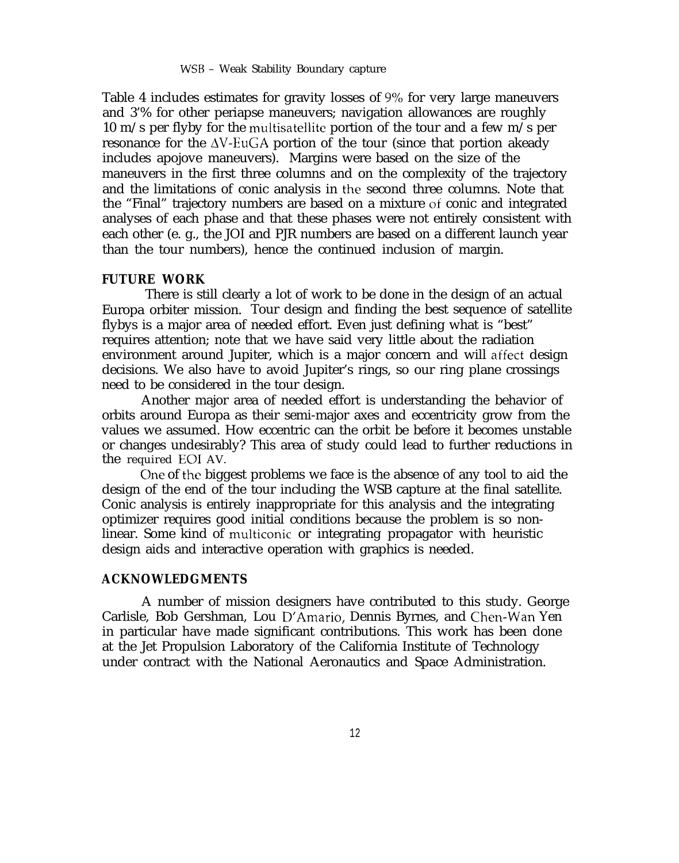Table 4 includes estimates for gravity losses of  $9\%$  for very large maneuvers and 3'% for other periapse maneuvers; navigation allowances are roughly 10 m/s per flyby for the multisatellite portion of the tour and a few m/s per resonance for the  $\Delta V$ -EuGA portion of the tour (since that portion akeady includes apojove maneuvers). Margins were based on the size of the maneuvers in the first three columns and on the complexity of the trajectory and the limitations of conic analysis in the second three columns. Note that the "Final" trajectory numbers are based on a mixture of conic and integrated analyses of each phase and that these phases were not entirely consistent with each other (e. g., the JOI and PJR numbers are based on a different launch year than the tour numbers), hence the continued inclusion of margin.

#### **FUTURE WORK**

There is still clearly a lot of work to be done in the design of an actual Europa orbiter mission. Tour design and finding the best sequence of satellite flybys is a major area of needed effort. Even just defining what is "best" requires attention; note that we have said very little about the radiation environment around Jupiter, which is a major concern and will affect design decisions. We also have to avoid Jupiter's rings, so our ring plane crossings need to be considered in the tour design.

Another major area of needed effort is understanding the behavior of orbits around Europa as their semi-major axes and eccentricity grow from the values we assumed. How eccentric can the orbit be before it becomes unstable or changes undesirably? This area of study could lead to further reductions in the required EOI AV.

Che of the biggest problems we face is the absence of any tool to aid the design of the end of the tour including the WSB capture at the final satellite. Conic analysis is entirely inappropriate for this analysis and the integrating optimizer requires good initial conditions because the problem is so nonlinear. Some kind of multiconic or integrating propagator with heuristic design aids and interactive operation with graphics is needed.

#### **ACKNOWLEDGMENTS**

A number of mission designers have contributed to this study. George Carlisle, Bob Gershman, Lou D'Amario, Dennis Byrnes, and Chen-Wan Yen in particular have made significant contributions. This work has been done at the Jet Propulsion Laboratory of the California Institute of Technology under contract with the National Aeronautics and Space Administration.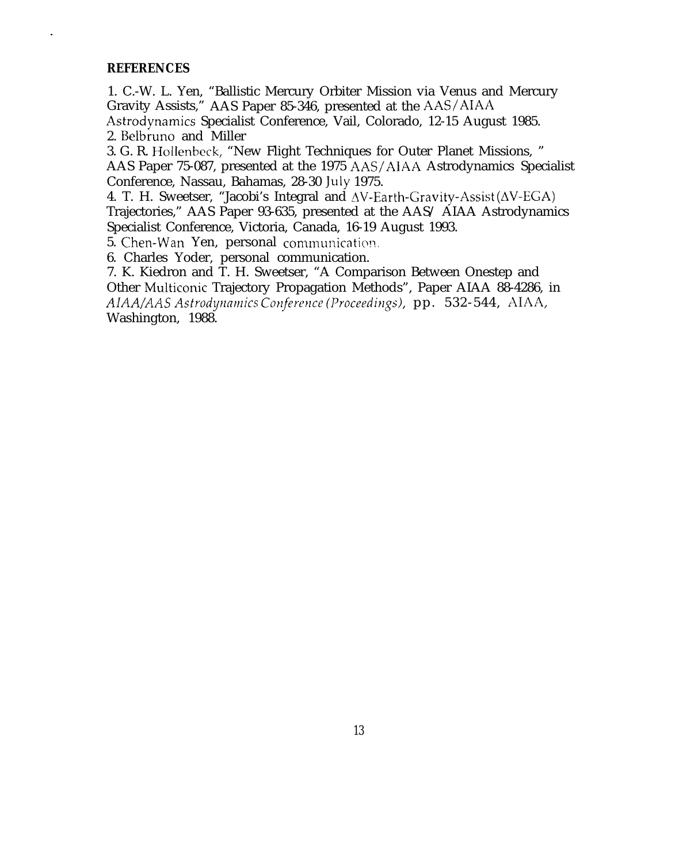#### **REFERENCES**

1. C.-W. L. Yen, "Ballistic Mercury Orbiter Mission via Venus and Mercury Gravity Assists," AAS Paper 85-346, presented at the AAS/AIAA Astrodynamics Specialist Conference, Vail, Colorado, 12-15 August 1985. 2. Belbruno and Miller

3. G. R. Hollenbeck, "New Flight Techniques for Outer Planet Missions, " AAS Paper 75-087, presented at the 1975 AAS/AIAA Astrodynamics Specialist Conference, Nassau, Bahamas, 28-30 July 1975.

4. T. H. Sweetser, "Jacobi's Integral and  $\Delta V$ -Earth-Gravity-Assist ( $\Delta V$ -EGA) Trajectories," AAS Paper 93-635, presented at the AAS/ AIAA Astrodynamics Specialist Conference, Victoria, Canada, 16-19 August 1993.

5. Chen-Wan Yen, personal communication.

6. Charles Yoder, personal communication.

7. K. Kiedron and T. H. Sweetser, "A Comparison Between Onestep and Other Multiconic Trajectory Propagation Methods", Paper AIAA 88-4286, in *AIAA/AAS Astrodytzfimirs Corzf2re~~cc (Proceedi?lgs),* pp. 532-544, AIAA, Washington, 1988.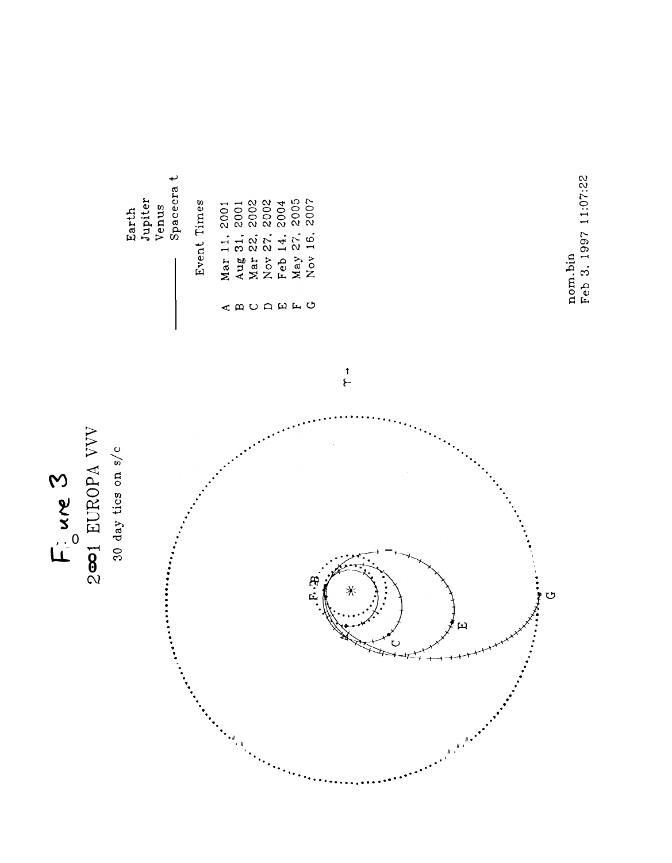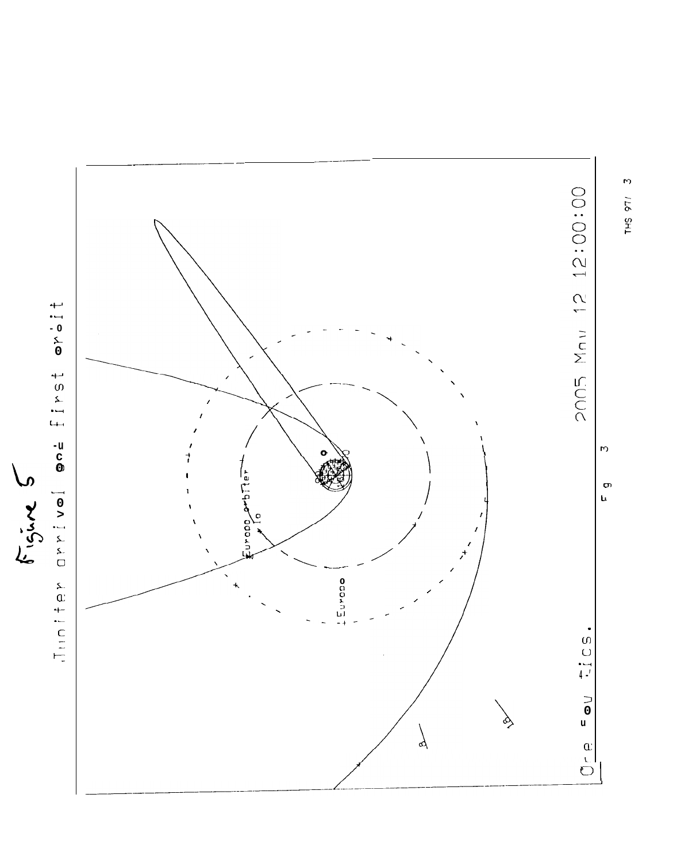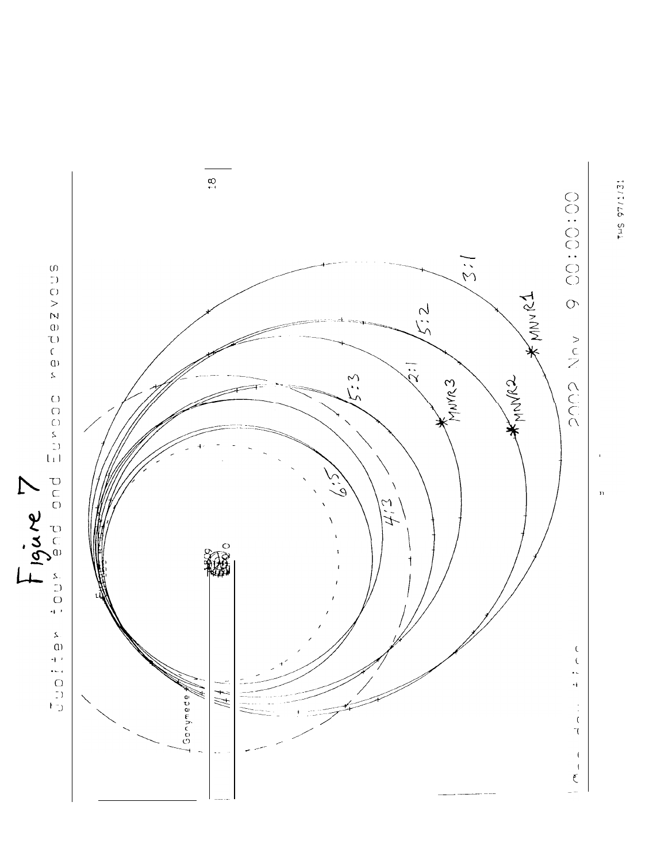